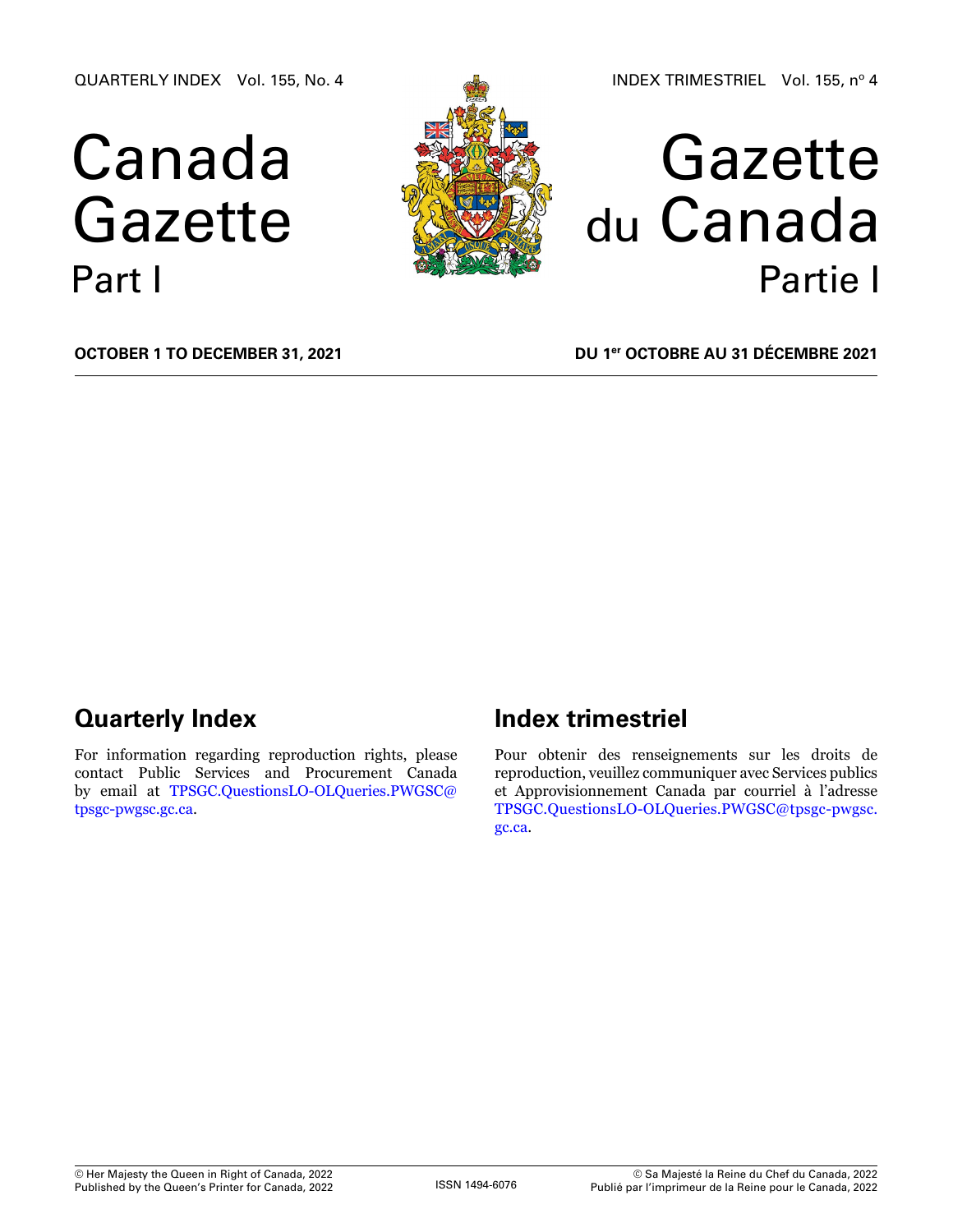QUARTERLY INDEX Vol. 155, No. 4

# Canada Gazette Part I



# Gazette du Canada Partie I

**October 1 to December 31, 2021**

**DU 1er octobre au 31 décembre 2021**

# **Quarterly Index**

For information regarding reproduction rights, please contact Public Services and Procurement Canada by email at [TPSGC.QuestionsLO-OLQueries.PWGSC@](mailto:TPSGC.QuestionsLO-OLQueries.PWGSC%40tpsgc-pwgsc.gc.ca?subject=) [tpsgc-pwgsc.gc.ca](mailto:TPSGC.QuestionsLO-OLQueries.PWGSC%40tpsgc-pwgsc.gc.ca?subject=).

# **Index trimestriel**

Pour obtenir des renseignements sur les droits de reproduction, veuillez communiquer avec Services publics et Approvisionnement Canada par courriel à l'adresse [TPSGC.QuestionsLO-OLQueries.PWGSC@tpsgc-pwgsc.](mailto:TPSGC.QuestionsLO-OLQueries.PWGSC%40tpsgc-pwgsc.gc.ca?subject=) [gc.ca](mailto:TPSGC.QuestionsLO-OLQueries.PWGSC%40tpsgc-pwgsc.gc.ca?subject=).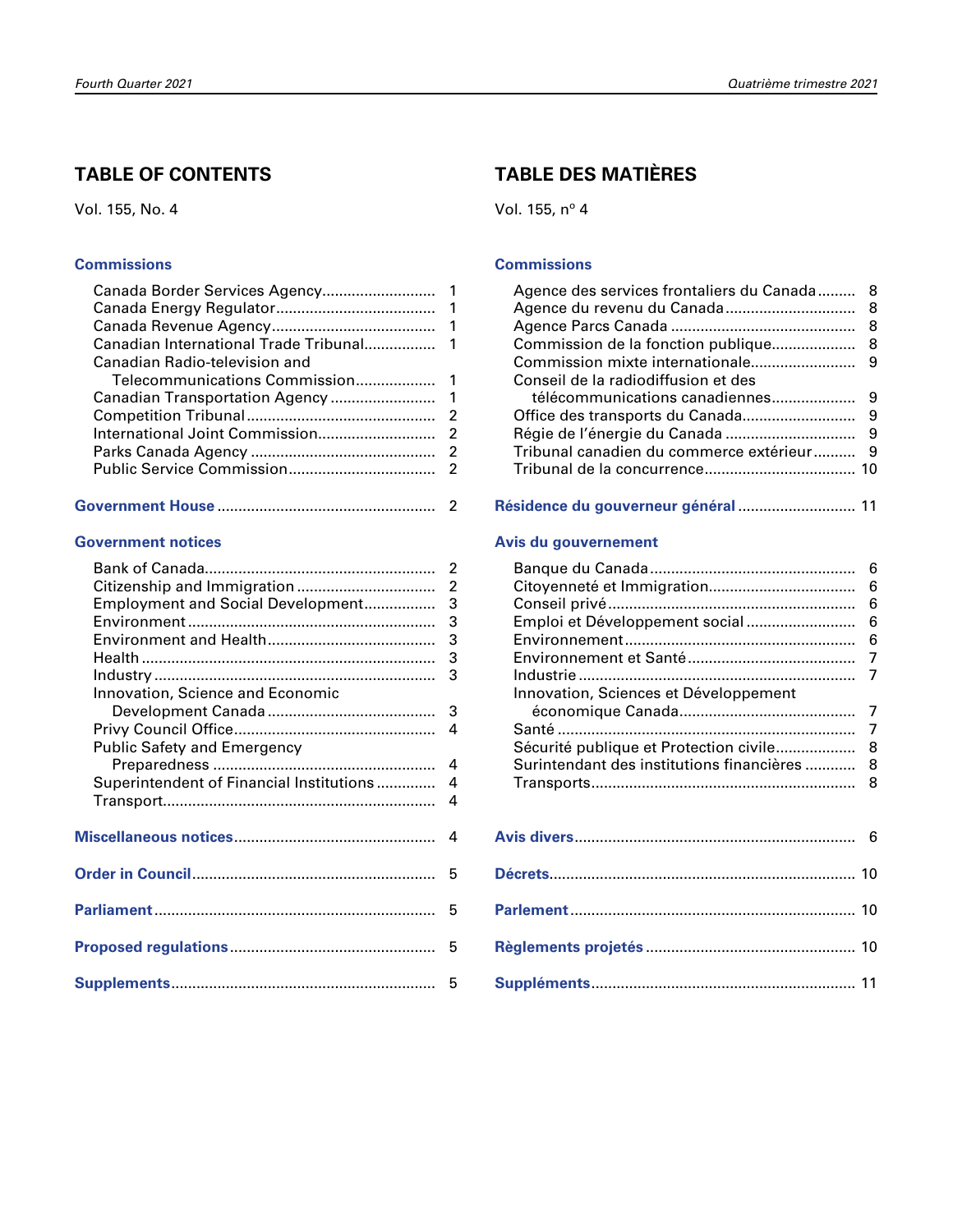## **TABLE OF CONTENTS**

Vol. 155, No. 4

## **[Commissions](#page-2-0)**

| Canadian Radio-television and |  |
|-------------------------------|--|
|                               |  |
|                               |  |
|                               |  |
|                               |  |
|                               |  |
|                               |  |
|                               |  |

|--|--|

## **[Government notices](#page-3-0)**

| Employment and Social Development 3        |              |
|--------------------------------------------|--------------|
|                                            | 3            |
|                                            | $\mathbf{3}$ |
|                                            | 3            |
|                                            | 3            |
| Innovation, Science and Economic           |              |
|                                            |              |
|                                            |              |
| Public Safety and Emergency                |              |
|                                            |              |
| Superintendent of Financial Institutions 4 |              |
|                                            |              |
|                                            |              |
|                                            |              |
|                                            |              |
|                                            |              |
|                                            |              |
|                                            |              |
|                                            |              |
|                                            |              |
|                                            |              |
|                                            |              |

## **TABLE DES MATIÈRES**

Vol. 155, nº 4

## **[Commissions](#page-9-0)**

| Agence des services frontaliers du Canada | 8   |
|-------------------------------------------|-----|
|                                           | 8   |
|                                           | 8   |
| Commission de la fonction publique        | 8   |
| Commission mixte internationale           | 9   |
| Conseil de la radiodiffusion et des       |     |
| télécommunications canadiennes            | - 9 |
|                                           | - 9 |
| Régie de l'énergie du Canada              | 9   |
| Tribunal canadien du commerce extérieur   | 9   |
|                                           |     |
| Résidence du gouverneur général  11       |     |
| Avis du gouvernement                      |     |
|                                           |     |

|                                              | -6  |
|----------------------------------------------|-----|
|                                              | - 6 |
|                                              | 6   |
|                                              | 6   |
|                                              | -6  |
|                                              | - 7 |
|                                              | - 7 |
| Innovation, Sciences et Développement        |     |
|                                              | 7   |
|                                              | 7   |
| Sécurité publique et Protection civile       | -8  |
| Surintendant des institutions financières  8 |     |
|                                              |     |
|                                              |     |
|                                              |     |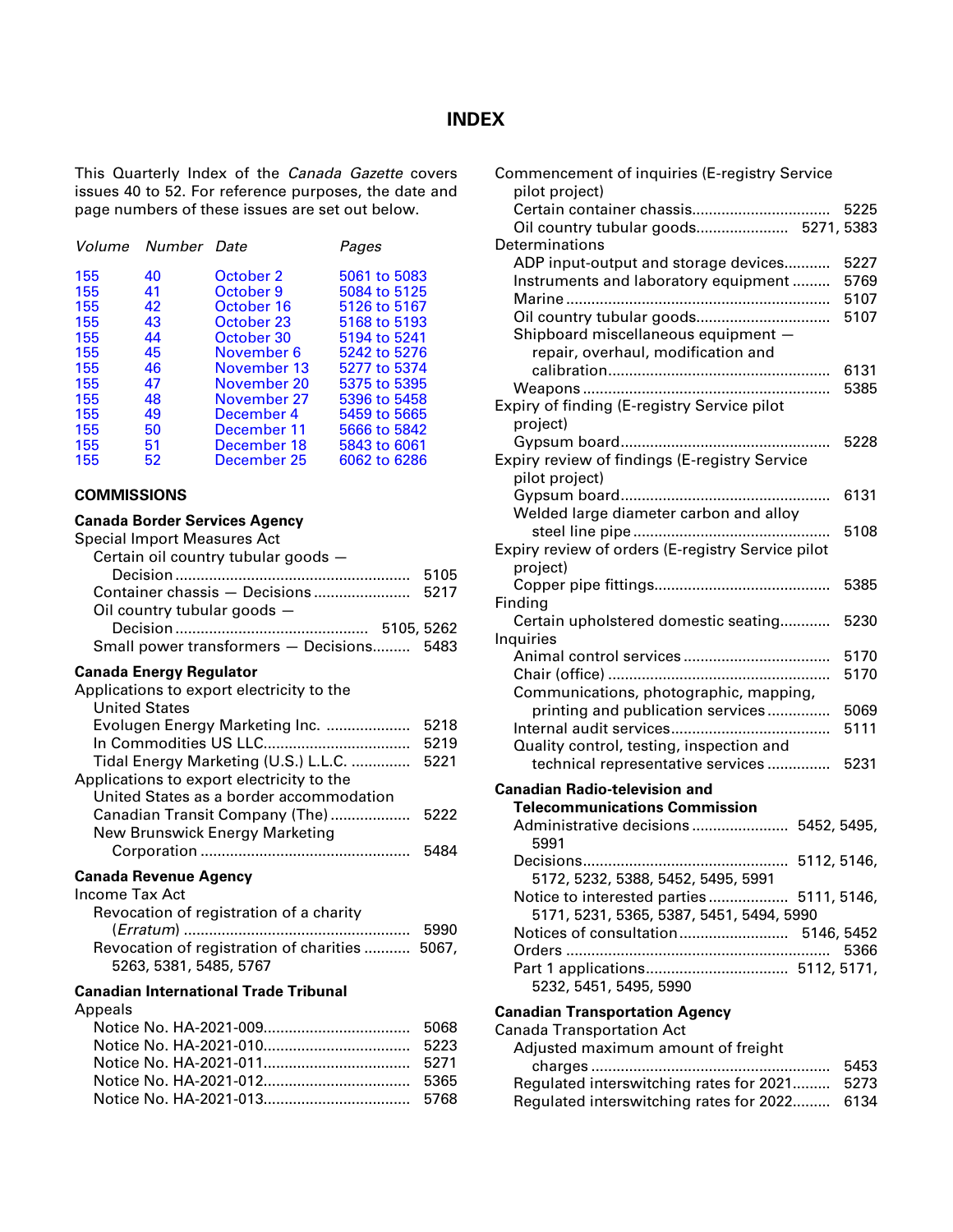## **INDEX**

<span id="page-2-0"></span>This Quarterly Index of the *Canada Gazette* covers issues 40 to 52. For reference purposes, the date and page numbers of these issues are set out below.

| Volume | Number Date |             | Pages        |
|--------|-------------|-------------|--------------|
| 155    | 40          | October 2   | 5061 to 5083 |
| 155    | 41          | October 9   | 5084 to 5125 |
| 155    | 42          | October 16  | 5126 to 5167 |
| 155    | 43          | October 23  | 5168 to 5193 |
| 155    | 44          | October 30  | 5194 to 5241 |
| 155    | 45          | November 6  | 5242 to 5276 |
| 155    | 46          | November 13 | 5277 to 5374 |
| 155    | 47          | November 20 | 5375 to 5395 |
| 155    | 48          | November 27 | 5396 to 5458 |
| 155    | 49          | December 4  | 5459 to 5665 |
| 155    | 50          | December 11 | 5666 to 5842 |
| 155    | 51          | December 18 | 5843 to 6061 |
| 155    | 52          | December 25 | 6062 to 6286 |

## **COMMISSIONS**

## **Canada Border Services Agency**

| Special Import Measures Act               |      |
|-------------------------------------------|------|
| Certain oil country tubular goods -       |      |
|                                           | 5105 |
|                                           |      |
| Oil country tubular goods -               |      |
| 5105, 5262                                |      |
| Small power transformers - Decisions 5483 |      |
| Conado Engran Dagulator                   |      |

## **Canada Energy Regulator**

| Applications to export electricity to the |      |
|-------------------------------------------|------|
| <b>United States</b>                      |      |
| Evolugen Energy Marketing Inc.            | 5218 |
|                                           | 5219 |
| Tidal Energy Marketing (U.S.) L.L.C.      | 5221 |
| Applications to export electricity to the |      |
| United States as a border accommodation   |      |
| Canadian Transit Company (The)            | 5222 |
| New Brunswick Energy Marketing            |      |
|                                           |      |

## **Canada Revenue Agency**

| Income Tax Act                                 |      |
|------------------------------------------------|------|
| Revocation of registration of a charity        |      |
|                                                | 5990 |
| Revocation of registration of charities  5067, |      |
| 5263, 5381, 5485, 5767                         |      |
|                                                |      |

## **Canadian International Trade Tribunal**

## Appeals

| <b>Commencement of inquiries (E-registry Service</b> |      |
|------------------------------------------------------|------|
| pilot project)                                       |      |
|                                                      | 5225 |
| Oil country tubular goods 5271, 5383                 |      |
| Determinations                                       |      |
| ADP input-output and storage devices                 | 5227 |
| Instruments and laboratory equipment                 | 5769 |
|                                                      | 5107 |
| Oil country tubular goods                            | 5107 |
| Shipboard miscellaneous equipment -                  |      |
| repair, overhaul, modification and                   |      |
|                                                      | 6131 |
|                                                      | 5385 |
| Expiry of finding (E-registry Service pilot          |      |
| project)                                             |      |
|                                                      | 5228 |
| Expiry review of findings (E-registry Service        |      |
| pilot project)                                       |      |
|                                                      | 6131 |
| Welded large diameter carbon and alloy               |      |
|                                                      | 5108 |
| Expiry review of orders (E-registry Service pilot    |      |
| project)                                             |      |
|                                                      | 5385 |
| Finding                                              |      |
| Certain upholstered domestic seating                 | 5230 |
|                                                      |      |
| Inquiries                                            |      |
|                                                      | 5170 |
|                                                      | 5170 |
| Communications, photographic, mapping,               |      |
| printing and publication services                    | 5069 |
|                                                      | 5111 |
| Quality control, testing, inspection and             |      |
| technical representative services                    | 5231 |
| <b>Canadian Radio-television and</b>                 |      |
| <b>Telecommunications Commission</b>                 |      |
| Administrative decisions 5452, 5495,                 |      |
| 5991                                                 |      |
| Decisions<br>5112, 5146,                             |      |
| 5172, 5232, 5388, 5452, 5495, 5991                   |      |
| Notice to interested parties 5111, 5146,             |      |
| 5171, 5231, 5365, 5387, 5451, 5494, 5990             |      |
|                                                      |      |
|                                                      | 5366 |
|                                                      |      |
| 5232, 5451, 5495, 5990                               |      |
|                                                      |      |
| <b>Canadian Transportation Agency</b>                |      |
| <b>Canada Transportation Act</b>                     |      |

| Adjusted maximum amount of freight           |      |
|----------------------------------------------|------|
|                                              | 5453 |
| Regulated interswitching rates for 2021 5273 |      |
| Regulated interswitching rates for 2022 6134 |      |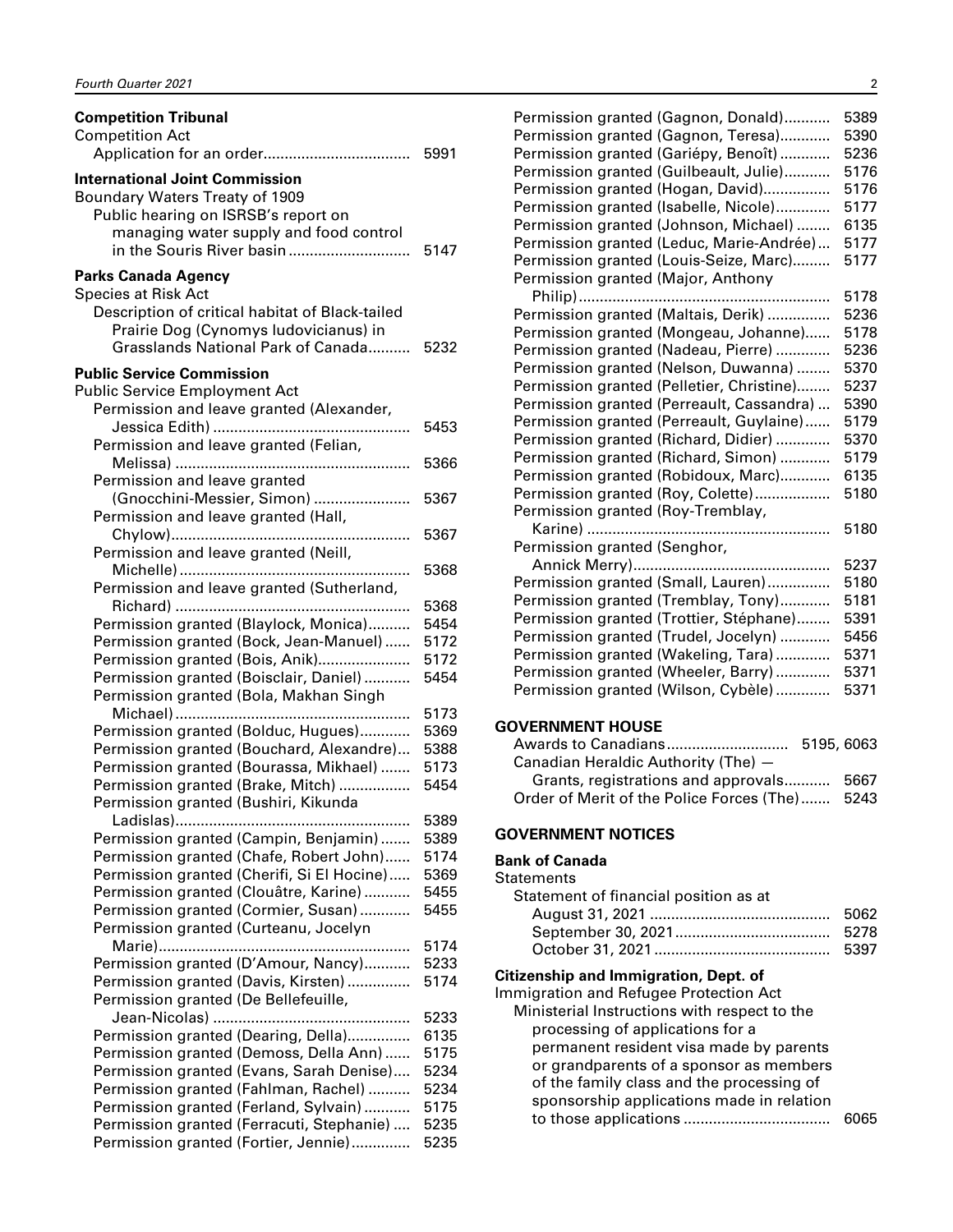<span id="page-3-0"></span>

| <b>Competition Tribunal</b><br><b>Competition Act</b>                                                                                                    | 5991         |
|----------------------------------------------------------------------------------------------------------------------------------------------------------|--------------|
| <b>International Joint Commission</b><br>Boundary Waters Treaty of 1909<br>Public hearing on ISRSB's report on<br>managing water supply and food control |              |
|                                                                                                                                                          | 5147         |
| <b>Parks Canada Agency</b><br><b>Species at Risk Act</b>                                                                                                 |              |
| Description of critical habitat of Black-tailed<br>Prairie Dog (Cynomys Iudovicianus) in<br>Grasslands National Park of Canada                           | 5232         |
| <b>Public Service Commission</b>                                                                                                                         |              |
| <b>Public Service Employment Act</b>                                                                                                                     |              |
| Permission and leave granted (Alexander,                                                                                                                 |              |
| Permission and leave granted (Felian,                                                                                                                    | 5453         |
| Permission and leave granted                                                                                                                             | 5366         |
| (Gnocchini-Messier, Simon)                                                                                                                               | 5367         |
| Permission and leave granted (Hall,                                                                                                                      |              |
|                                                                                                                                                          | 5367         |
| Permission and leave granted (Neill,                                                                                                                     |              |
| Permission and leave granted (Sutherland,                                                                                                                | 5368         |
|                                                                                                                                                          | 5368         |
| Permission granted (Blaylock, Monica)                                                                                                                    | 5454         |
| Permission granted (Bock, Jean-Manuel)                                                                                                                   | 5172         |
| Permission granted (Bois, Anik)                                                                                                                          | 5172         |
| Permission granted (Boisclair, Daniel)                                                                                                                   | 5454         |
| Permission granted (Bola, Makhan Singh                                                                                                                   |              |
|                                                                                                                                                          | 5173         |
| Permission granted (Bolduc, Hugues)<br>Permission granted (Bouchard, Alexandre)                                                                          | 5369<br>5388 |
| Permission granted (Bourassa, Mikhael)                                                                                                                   | 5173         |
| Permission granted (Brake, Mitch)                                                                                                                        | 5454         |
| Permission granted (Bushiri, Kikunda                                                                                                                     |              |
|                                                                                                                                                          | 5389         |
| Permission granted (Campin, Benjamin)                                                                                                                    | 5389         |
| Permission granted (Chafe, Robert John)                                                                                                                  | 5174         |
| Permission granted (Cherifi, Si El Hocine)                                                                                                               | 5369         |
| Permission granted (Clouâtre, Karine)<br>Permission granted (Cormier, Susan)                                                                             | 5455<br>5455 |
| Permission granted (Curteanu, Jocelyn                                                                                                                    |              |
|                                                                                                                                                          | 5174         |
| Permission granted (D'Amour, Nancy)                                                                                                                      | 5233         |
| Permission granted (Davis, Kirsten)                                                                                                                      | 5174         |
| Permission granted (De Bellefeuille,                                                                                                                     |              |
|                                                                                                                                                          | 5233         |
| Permission granted (Dearing, Della)                                                                                                                      | 6135         |
| Permission granted (Demoss, Della Ann)<br>Permission granted (Evans, Sarah Denise)                                                                       | 5175<br>5234 |
| Permission granted (Fahlman, Rachel)                                                                                                                     | 5234         |
| Permission granted (Ferland, Sylvain)                                                                                                                    | 5175         |
| Permission granted (Ferracuti, Stephanie)                                                                                                                | 5235         |
| Permission granted (Fortier, Jennie)                                                                                                                     | 5235         |

| Permission granted (Gagnon, Donald)       | 5389 |
|-------------------------------------------|------|
| Permission granted (Gagnon, Teresa)       | 5390 |
| Permission granted (Gariépy, Benoît)      | 5236 |
| Permission granted (Guilbeault, Julie)    | 5176 |
| Permission granted (Hogan, David)         | 5176 |
| Permission granted (Isabelle, Nicole)     | 5177 |
| Permission granted (Johnson, Michael)     | 6135 |
| Permission granted (Leduc, Marie-Andrée)  | 5177 |
| Permission granted (Louis-Seize, Marc)    | 5177 |
| Permission granted (Major, Anthony        |      |
|                                           | 5178 |
| Permission granted (Maltais, Derik)       | 5236 |
| Permission granted (Mongeau, Johanne)     | 5178 |
| Permission granted (Nadeau, Pierre)       | 5236 |
| Permission granted (Nelson, Duwanna)      | 5370 |
| Permission granted (Pelletier, Christine) | 5237 |
| Permission granted (Perreault, Cassandra) | 5390 |
| Permission granted (Perreault, Guylaine)  | 5179 |
| Permission granted (Richard, Didier)      | 5370 |
| Permission granted (Richard, Simon)       | 5179 |
| Permission granted (Robidoux, Marc)       | 6135 |
| Permission granted (Roy, Colette)         | 5180 |
| Permission granted (Roy-Tremblay,         |      |
|                                           | 5180 |
| Permission granted (Senghor,              |      |
|                                           | 5237 |
| Permission granted (Small, Lauren)        | 5180 |
| Permission granted (Tremblay, Tony)       | 5181 |
| Permission granted (Trottier, Stéphane)   | 5391 |
| Permission granted (Trudel, Jocelyn)      | 5456 |
| Permission granted (Wakeling, Tara)       | 5371 |
| Permission granted (Wheeler, Barry)       | 5371 |
| Permission granted (Wilson, Cybèle)       | 5371 |
|                                           |      |

## **GOVERNMENT HOUSE**

|                                                | 5195, 6063 |  |
|------------------------------------------------|------------|--|
| Canadian Heraldic Authority (The) -            |            |  |
| Grants, registrations and approvals 5667       |            |  |
| Order of Merit of the Police Forces (The) 5243 |            |  |
|                                                |            |  |

## **GOVERNMENT NOTICES**

## **Bank of Canada**

## **Statements**

| Statement of financial position as at |  |
|---------------------------------------|--|
|                                       |  |
|                                       |  |
|                                       |  |

# **Citizenship and Immigration, Dept. of**

| Immigration and Refugee Protection Act       |  |
|----------------------------------------------|--|
| Ministerial Instructions with respect to the |  |
| processing of applications for a             |  |
| permanent resident visa made by parents      |  |
| or grandparents of a sponsor as members      |  |
| of the family class and the processing of    |  |
| sponsorship applications made in relation    |  |
|                                              |  |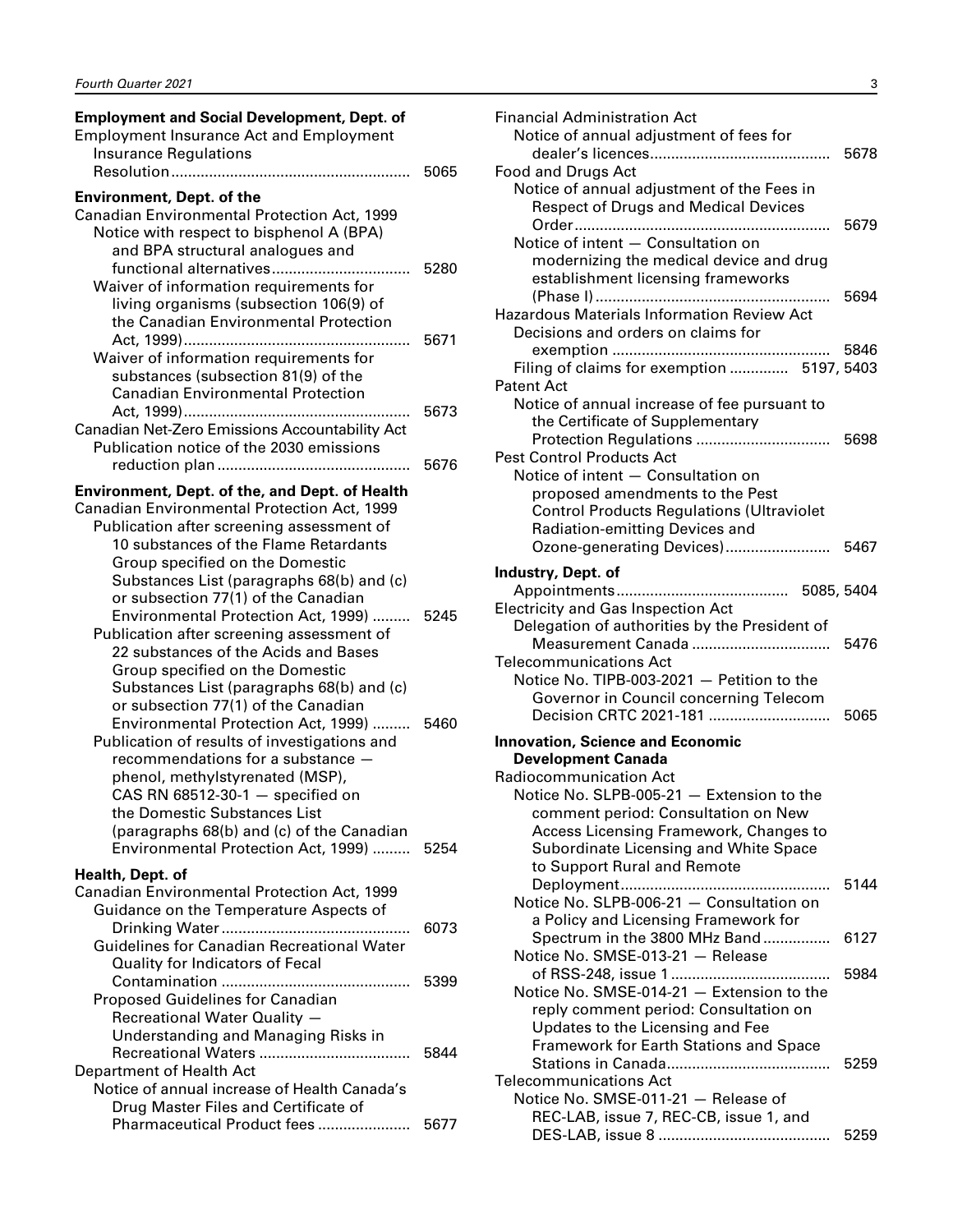| <b>Employment and Social Development, Dept. of</b><br><b>Employment Insurance Act and Employment</b><br><b>Insurance Regulations</b>                                                                                                                                                                                |              |
|---------------------------------------------------------------------------------------------------------------------------------------------------------------------------------------------------------------------------------------------------------------------------------------------------------------------|--------------|
| <b>Environment, Dept. of the</b><br><b>Canadian Environmental Protection Act, 1999</b><br>Notice with respect to bisphenol A (BPA)<br>and BPA structural analogues and                                                                                                                                              | 5065         |
| Waiver of information requirements for<br>living organisms (subsection 106(9) of<br>the Canadian Environmental Protection                                                                                                                                                                                           | 5280<br>5671 |
| Waiver of information requirements for<br>substances (subsection 81(9) of the<br><b>Canadian Environmental Protection</b>                                                                                                                                                                                           | 5673         |
| Canadian Net-Zero Emissions Accountability Act<br>Publication notice of the 2030 emissions                                                                                                                                                                                                                          | 5676         |
| Environment, Dept. of the, and Dept. of Health<br>Canadian Environmental Protection Act, 1999<br>Publication after screening assessment of<br>10 substances of the Flame Retardants<br>Group specified on the Domestic<br>Substances List (paragraphs 68(b) and (c)<br>or subsection 77(1) of the Canadian          |              |
| Environmental Protection Act, 1999)<br>Publication after screening assessment of<br>22 substances of the Acids and Bases<br>Group specified on the Domestic<br>Substances List (paragraphs 68(b) and (c)<br>or subsection 77(1) of the Canadian                                                                     | 5245         |
| Environmental Protection Act, 1999)<br>Publication of results of investigations and<br>recommendations for a substance<br>phenol, methylstyrenated (MSP),<br>CAS RN 68512-30-1 $-$ specified on<br>the Domestic Substances List<br>(paragraphs 68(b) and (c) of the Canadian<br>Environmental Protection Act, 1999) | 5460<br>5254 |
| Health, Dept. of<br>Canadian Environmental Protection Act, 1999                                                                                                                                                                                                                                                     |              |
| Guidance on the Temperature Aspects of<br>Guidelines for Canadian Recreational Water<br>Quality for Indicators of Fecal                                                                                                                                                                                             | 6073         |
| Contamination<br>.<br><b>Proposed Guidelines for Canadian</b><br>Recreational Water Quality -<br><b>Understanding and Managing Risks in</b>                                                                                                                                                                         | 5399         |
| Department of Health Act<br>Notice of annual increase of Health Canada's<br>Drug Master Files and Certificate of                                                                                                                                                                                                    | 5844         |
| Pharmaceutical Product fees                                                                                                                                                                                                                                                                                         | 5677         |

| <b>Financial Administration Act</b><br>Notice of annual adjustment of fees for                                                                                                                     | 5678 |
|----------------------------------------------------------------------------------------------------------------------------------------------------------------------------------------------------|------|
| Food and Drugs Act<br>Notice of annual adjustment of the Fees in                                                                                                                                   |      |
| <b>Respect of Drugs and Medical Devices</b><br>Notice of intent - Consultation on<br>modernizing the medical device and drug<br>establishment licensing frameworks                                 | 5679 |
| <b>Hazardous Materials Information Review Act</b>                                                                                                                                                  | 5694 |
| Decisions and orders on claims for<br>Filing of claims for exemption  5197, 5403                                                                                                                   | 5846 |
| <b>Patent Act</b><br>Notice of annual increase of fee pursuant to                                                                                                                                  |      |
| the Certificate of Supplementary<br>Protection Regulations<br><b>Pest Control Products Act</b><br>Notice of intent - Consultation on                                                               | 5698 |
| proposed amendments to the Pest<br><b>Control Products Regulations (Ultraviolet</b><br>Radiation-emitting Devices and                                                                              |      |
|                                                                                                                                                                                                    |      |
| Industry, Dept. of<br><b>Electricity and Gas Inspection Act</b>                                                                                                                                    |      |
| Delegation of authorities by the President of<br><b>Telecommunications Act</b><br>Notice No. TIPB-003-2021 - Petition to the                                                                       | 5476 |
| Governor in Council concerning Telecom                                                                                                                                                             | 5065 |
| <b>Innovation, Science and Economic</b><br><b>Development Canada</b><br><b>Radiocommunication Act</b>                                                                                              |      |
| Notice No. SLPB-005-21 - Extension to the<br>comment period: Consultation on New<br>Access Licensing Framework, Changes to<br>Subordinate Licensing and White Space<br>to Support Rural and Remote |      |
| Notice No. SLPB-006-21 - Consultation on<br>a Policy and Licensing Framework for                                                                                                                   | 5144 |
| Spectrum in the 3800 MHz Band<br>Notice No. SMSE-013-21 - Release                                                                                                                                  | 6127 |
| Notice No. SMSE-014-21 - Extension to the<br>reply comment period: Consultation on<br>Updates to the Licensing and Fee<br>Framework for Earth Stations and Space                                   | 5984 |
| <b>Telecommunications Act</b><br>Notice No. SMSE-011-21 - Release of<br>REC-LAB, issue 7, REC-CB, issue 1, and                                                                                     | 5259 |
|                                                                                                                                                                                                    | 5259 |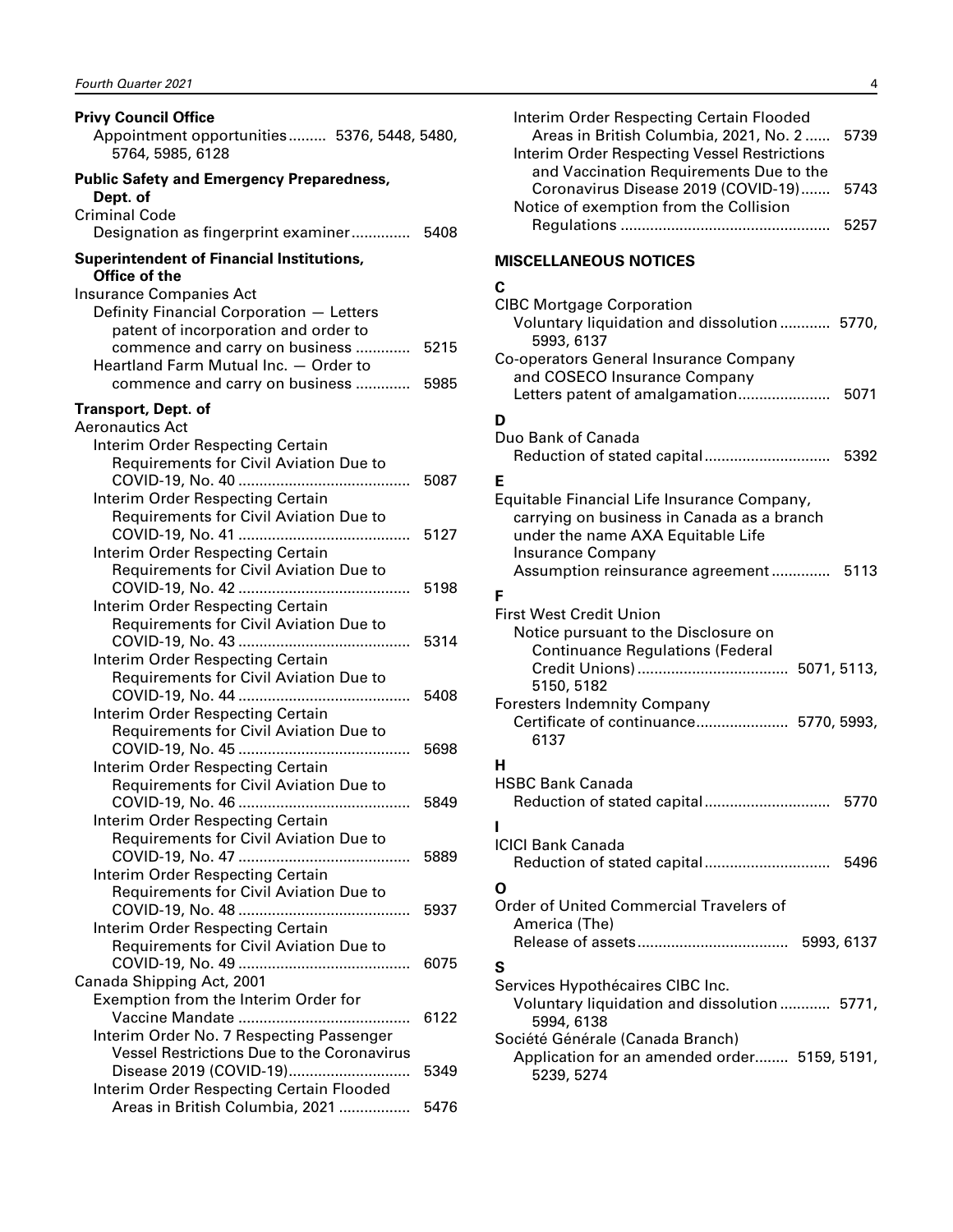<span id="page-5-0"></span>

| <b>Privy Council Office</b><br>Appointment opportunities 5376, 5448, 5480,<br>5764, 5985, 6128 |      |
|------------------------------------------------------------------------------------------------|------|
| <b>Public Safety and Emergency Preparedness,</b><br>Dept. of                                   |      |
| <b>Criminal Code</b><br>Designation as fingerprint examiner 5408                               |      |
| <b>Superintendent of Financial Institutions,</b><br>Office of the                              |      |
| Insurance Companies Act                                                                        |      |
| Definity Financial Corporation - Letters<br>patent of incorporation and order to               |      |
| commence and carry on business                                                                 | 5215 |
| Heartland Farm Mutual Inc. - Order to                                                          |      |
| commence and carry on business                                                                 | 5985 |
| Transport, Dept. of                                                                            |      |
| <b>Aeronautics Act</b><br>Interim Order Respecting Certain                                     |      |
| Requirements for Civil Aviation Due to                                                         |      |
|                                                                                                | 5087 |
| Interim Order Respecting Certain                                                               |      |
| Requirements for Civil Aviation Due to                                                         |      |
| Interim Order Respecting Certain                                                               | 5127 |
| Requirements for Civil Aviation Due to                                                         |      |
|                                                                                                | 5198 |
| Interim Order Respecting Certain                                                               |      |
| Requirements for Civil Aviation Due to                                                         | 5314 |
| Interim Order Respecting Certain                                                               |      |
| Requirements for Civil Aviation Due to                                                         | 5408 |
| Interim Order Respecting Certain                                                               |      |
| Requirements for Civil Aviation Due to                                                         |      |
|                                                                                                | 5698 |
| Interim Order Respecting Certain<br>Requirements for Civil Aviation Due to                     |      |
|                                                                                                | 5849 |
| Interim Order Respecting Certain                                                               |      |
| Requirements for Civil Aviation Due to                                                         |      |
|                                                                                                | 5889 |
| Interim Order Respecting Certain                                                               |      |
| Requirements for Civil Aviation Due to                                                         | 5937 |
| Interim Order Respecting Certain                                                               |      |
| Requirements for Civil Aviation Due to                                                         |      |
|                                                                                                | 6075 |
| Canada Shipping Act, 2001                                                                      |      |
| Exemption from the Interim Order for                                                           | 6122 |
| Interim Order No. 7 Respecting Passenger                                                       |      |
| <b>Vessel Restrictions Due to the Coronavirus</b>                                              |      |
| Disease 2019 (COVID-19)                                                                        | 5349 |
| Interim Order Respecting Certain Flooded                                                       |      |
| Areas in British Columbia, 2021                                                                | 5476 |

| Interim Order Respecting Certain Flooded     |      |
|----------------------------------------------|------|
| Areas in British Columbia, 2021, No. 2       | 5739 |
| Interim Order Respecting Vessel Restrictions |      |
| and Vaccination Requirements Due to the      |      |
| Coronavirus Disease 2019 (COVID-19)          | 5743 |
| Notice of exemption from the Collision       |      |
|                                              | 5257 |
|                                              |      |

## **MISCELLANEOUS NOTICES**

## **C**

| <b>CIBC Mortgage Corporation</b><br>Voluntary liquidation and dissolution  5770,<br>5993, 6137                                                                                                           |
|----------------------------------------------------------------------------------------------------------------------------------------------------------------------------------------------------------|
| Co-operators General Insurance Company<br>and COSECO Insurance Company<br>Letters patent of amalgamation 5071                                                                                            |
| D<br>Duo Bank of Canada<br>Reduction of stated capital 5392                                                                                                                                              |
| Е<br>Equitable Financial Life Insurance Company,<br>carrying on business in Canada as a branch<br>under the name AXA Equitable Life<br><b>Insurance Company</b><br>Assumption reinsurance agreement 5113 |
| F<br><b>First West Credit Union</b><br>Notice pursuant to the Disclosure on<br><b>Continuance Regulations (Federal</b><br>5150, 5182                                                                     |
| <b>Foresters Indemnity Company</b><br>Certificate of continuance 5770, 5993,<br>6137                                                                                                                     |
| н<br><b>HSBC Bank Canada</b><br>ı                                                                                                                                                                        |
| ICICI Bank Canada<br>Reduction of stated capital<br>5496                                                                                                                                                 |
| Ο<br>Order of United Commercial Travelers of<br>America (The)                                                                                                                                            |
| S<br>Services Hypothécaires CIBC Inc.<br>Voluntary liquidation and dissolution  5771,<br>5994, 6138<br>Société Générale (Canada Branch)<br>Application for an amended order 5159, 5191,<br>5239, 5274    |
|                                                                                                                                                                                                          |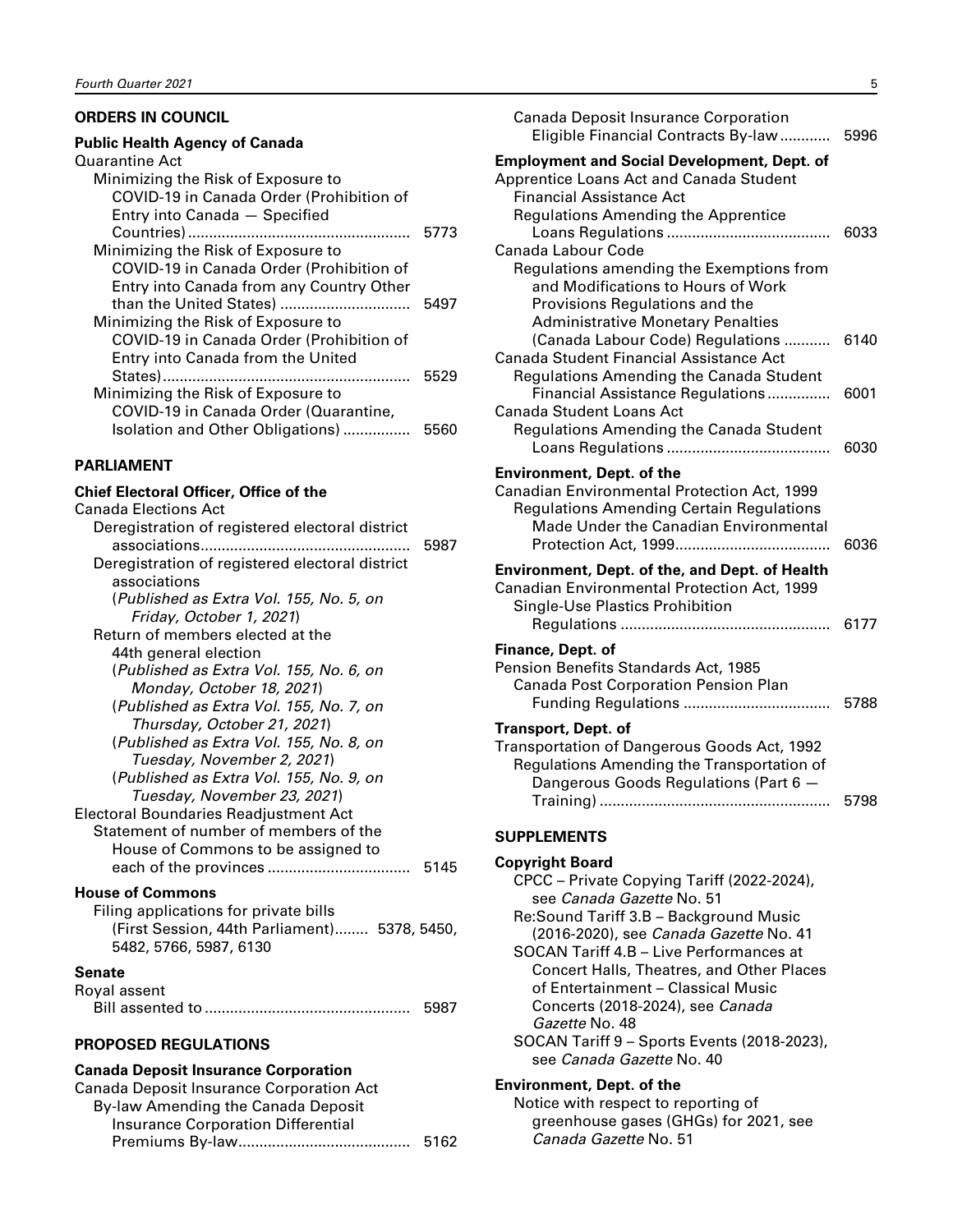## <span id="page-6-0"></span>**ORDERS IN COUNCIL**

### **Public Health Agency of Canada**

| <b>Ouarantine Act</b>                    |      |
|------------------------------------------|------|
| Minimizing the Risk of Exposure to       |      |
| COVID-19 in Canada Order (Prohibition of |      |
| Entry into Canada - Specified            |      |
|                                          | 5773 |
| Minimizing the Risk of Exposure to       |      |
| COVID-19 in Canada Order (Prohibition of |      |
| Entry into Canada from any Country Other |      |
|                                          | 5497 |
| Minimizing the Risk of Exposure to       |      |
| COVID-19 in Canada Order (Prohibition of |      |
| Entry into Canada from the United        |      |
|                                          | 5529 |
| Minimizing the Risk of Exposure to       |      |
| COVID-19 in Canada Order (Quarantine,    |      |
| Isolation and Other Obligations)         | 5560 |
|                                          |      |

## **PARLIAMENT**

## **Chief Electoral Officer, Office of the** Canada Elections Act Deregistration of registered electoral district associations.................................................. 5987 Deregistration of registered electoral district associations (*Published as Extra Vol. 155, No. 5, on Friday, October 1, 2021*) Return of members elected at the 44th general election (*Published as Extra Vol. 155, No. 6, on Monday, October 18, 2021*) (*Published as Extra Vol. 155, No. 7, on Thursday, October 21, 2021*) (*Published as Extra Vol. 155, No. 8, on Tuesday, November 2, 2021*) (*Published as Extra Vol. 155, No. 9, on Tuesday, November 23, 2021*) Electoral Boundaries Readjustment Act Statement of number of members of the House of Commons to be assigned to each of the provinces .................................. 5145 **House of Commons** Filing applications for private bills (First Session, 44th Parliament)........ 5378, 5450, 5482, 5766, 5987, 6130 **Senate**

| Royal assent |      |
|--------------|------|
|              | 5987 |

## **PROPOSED REGULATIONS**

## **Canada Deposit Insurance Corporation**

| Canada Deposit Insurance Corporation Act |      |
|------------------------------------------|------|
| By-law Amending the Canada Deposit       |      |
| Insurance Corporation Differential       |      |
|                                          | 5162 |

| Canada Deposit Insurance Corporation<br>Eligible Financial Contracts By-law                                                                                                                                                                                                                                                                                          | 5996         |
|----------------------------------------------------------------------------------------------------------------------------------------------------------------------------------------------------------------------------------------------------------------------------------------------------------------------------------------------------------------------|--------------|
| <b>Employment and Social Development, Dept. of</b><br>Apprentice Loans Act and Canada Student<br><b>Financial Assistance Act</b><br><b>Regulations Amending the Apprentice</b><br>Canada Labour Code<br>Regulations amending the Exemptions from<br>and Modifications to Hours of Work<br>Provisions Regulations and the<br><b>Administrative Monetary Penalties</b> | 6033         |
| (Canada Labour Code) Regulations<br>Canada Student Financial Assistance Act<br>Regulations Amending the Canada Student<br>Financial Assistance Regulations                                                                                                                                                                                                           | 6140<br>6001 |
| <b>Canada Student Loans Act</b><br>Regulations Amending the Canada Student                                                                                                                                                                                                                                                                                           | 6030         |
| <b>Environment, Dept. of the</b><br>Canadian Environmental Protection Act, 1999<br><b>Regulations Amending Certain Regulations</b><br>Made Under the Canadian Environmental                                                                                                                                                                                          | 6036         |
| Environment, Dept. of the, and Dept. of Health<br>Canadian Environmental Protection Act, 1999<br>Single-Use Plastics Prohibition                                                                                                                                                                                                                                     | 6177         |
| Finance, Dept. of<br>Pension Benefits Standards Act, 1985<br><b>Canada Post Corporation Pension Plan</b>                                                                                                                                                                                                                                                             | 5788         |
| <b>Transport, Dept. of</b><br>Transportation of Dangerous Goods Act, 1992<br>Regulations Amending the Transportation of<br>Dangerous Goods Regulations (Part 6 -<br>Training)                                                                                                                                                                                        | 5798         |
| <b>SUPPLEMENTS</b>                                                                                                                                                                                                                                                                                                                                                   |              |
| <b>Copyright Board</b><br>CPCC - Private Copying Tariff (2022-2024),<br>see <i>Canada Gazette</i> No. 51<br>Re:Sound Tariff 3.B - Background Music                                                                                                                                                                                                                   |              |

Concerts (2018-2024), see *Canada Gazette* No. 48

(2016-2020), see *Canada Gazette* No. 41 SOCAN Tariff 4.B – Live Performances at Concert Halls, Theatres, and Other Places of Entertainment – Classical Music

SOCAN Tariff 9 – Sports Events (2018-2023), see *Canada Gazette* No. 40

## **Environment, Dept. of the**

Notice with respect to reporting of greenhouse gases (GHGs) for 2021, see *Canada Gazette* No. 51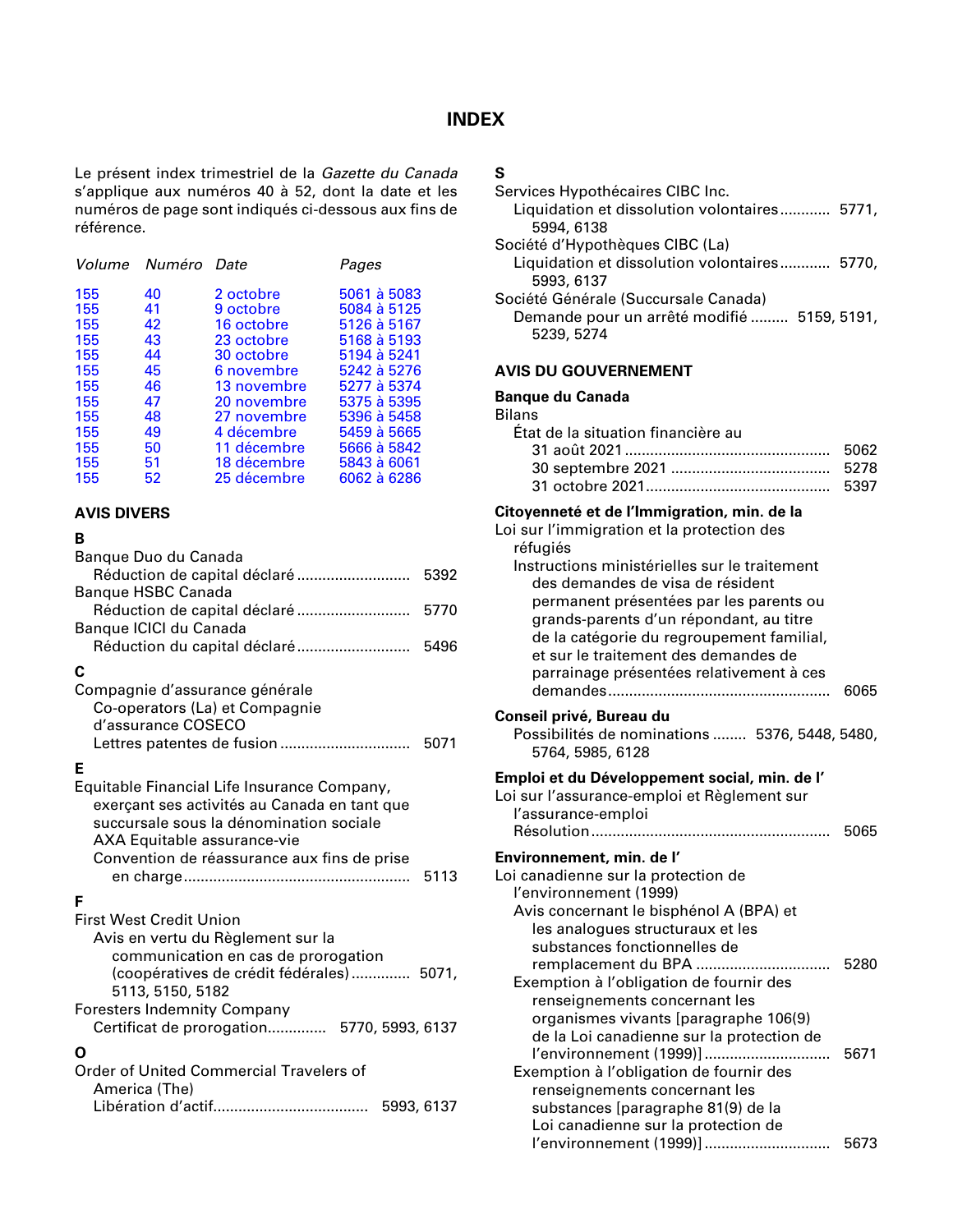## **INDEX**

<span id="page-7-0"></span>Le présent index trimestriel de la *Gazette du Canada* s'applique aux numéros 40 à 52, dont la date et les numéros de page sont indiqués ci-dessous aux fins de référence.

|    |             | Pages              |
|----|-------------|--------------------|
| 40 | 2 octobre   | 5061 à 5083        |
| 41 | 9 octobre   | 5084 à 5125        |
| 42 | 16 octobre  | 5126 à 5167        |
| 43 | 23 octobre  | 5168 à 5193        |
| 44 | 30 octobre  | 5194 à 5241        |
| 45 | 6 novembre  | 5242 à 5276        |
| 46 | 13 novembre | 5277 à 5374        |
| 47 | 20 novembre | 5375 à 5395        |
| 48 | 27 novembre | 5396 à 5458        |
| 49 | 4 décembre  | 5459 à 5665        |
| 50 | 11 décembre | 5666 à 5842        |
| 51 | 18 décembre | 5843 à 6061        |
| 52 | 25 décembre | 6062 à 6286        |
|    |             | Volume Numéro Date |

## **AVIS DIVERS**

## **B**

| Banque Duo du Canada                         |            |
|----------------------------------------------|------------|
| Réduction de capital déclaré                 | 5392       |
| <b>Banque HSBC Canada</b>                    |            |
| Réduction de capital déclaré                 | 5770       |
| Banque ICICI du Canada                       |            |
| Réduction du capital déclaré                 | 5496       |
| С                                            |            |
| Compagnie d'assurance générale               |            |
| Co-operators (La) et Compagnie               |            |
| d'assurance COSECO                           |            |
| Lettres patentes de fusion                   | 5071       |
| Е                                            |            |
| Equitable Financial Life Insurance Company,  |            |
| exerçant ses activités au Canada en tant que |            |
| succursale sous la dénomination sociale      |            |
| AXA Equitable assurance-vie                  |            |
| Convention de réassurance aux fins de prise  |            |
|                                              | 5113       |
| F                                            |            |
| <b>First West Credit Union</b>               |            |
| Avis en vertu du Règlement sur la            |            |
| communication en cas de prorogation          |            |
| (coopératives de crédit fédérales) 5071,     |            |
| 5113, 5150, 5182                             |            |
| <b>Foresters Indemnity Company</b>           |            |
| Certificat de prorogation 5770, 5993, 6137   |            |
| ი                                            |            |
| Order of United Commercial Travelers of      |            |
| America (The)                                |            |
|                                              | 5993, 6137 |

## **S**

| Services Hypothécaires CIBC Inc.                                                   |      |
|------------------------------------------------------------------------------------|------|
| Liquidation et dissolution volontaires 5771,                                       |      |
| 5994, 6138                                                                         |      |
| Société d'Hypothèques CIBC (La)                                                    |      |
| Liquidation et dissolution volontaires 5770,<br>5993, 6137                         |      |
| Société Générale (Succursale Canada)                                               |      |
| Demande pour un arrêté modifié  5159, 5191,                                        |      |
| 5239, 5274                                                                         |      |
|                                                                                    |      |
| <b>AVIS DU GOUVERNEMENT</b>                                                        |      |
| <b>Banque du Canada</b>                                                            |      |
| <b>Bilans</b>                                                                      |      |
| État de la situation financière au                                                 |      |
|                                                                                    | 5062 |
|                                                                                    | 5278 |
|                                                                                    | 5397 |
| Citoyenneté et de l'Immigration, min. de la                                        |      |
| Loi sur l'immigration et la protection des                                         |      |
| réfugiés                                                                           |      |
| Instructions ministérielles sur le traitement                                      |      |
| des demandes de visa de résident                                                   |      |
| permanent présentées par les parents ou<br>grands-parents d'un répondant, au titre |      |
| de la catégorie du regroupement familial,                                          |      |
| et sur le traitement des demandes de                                               |      |
| parrainage présentées relativement à ces                                           |      |
|                                                                                    |      |
|                                                                                    | 6065 |
|                                                                                    |      |
| Conseil privé, Bureau du                                                           |      |
| Possibilités de nominations  5376, 5448, 5480,                                     |      |
| 5764, 5985, 6128                                                                   |      |
| Emploi et du Développement social, min. de l'                                      |      |
| Loi sur l'assurance-emploi et Règlement sur                                        |      |
| l'assurance-emploi                                                                 |      |
|                                                                                    | 5065 |
| Environnement, min. de l'                                                          |      |
| Loi canadienne sur la protection de                                                |      |
| l'environnement (1999)                                                             |      |
| Avis concernant le bisphénol A (BPA) et                                            |      |
| les analogues structuraux et les                                                   |      |
| substances fonctionnelles de                                                       |      |
| remplacement du BPA                                                                | 5280 |
| Exemption à l'obligation de fournir des                                            |      |
| renseignements concernant les<br>organismes vivants [paragraphe 106(9)             |      |
| de la Loi canadienne sur la protection de                                          |      |
| l'environnement (1999)]                                                            | 5671 |
| Exemption à l'obligation de fournir des                                            |      |
| renseignements concernant les                                                      |      |
| substances [paragraphe 81(9) de la                                                 |      |
| Loi canadienne sur la protection de<br>l'environnement (1999)]                     | 5673 |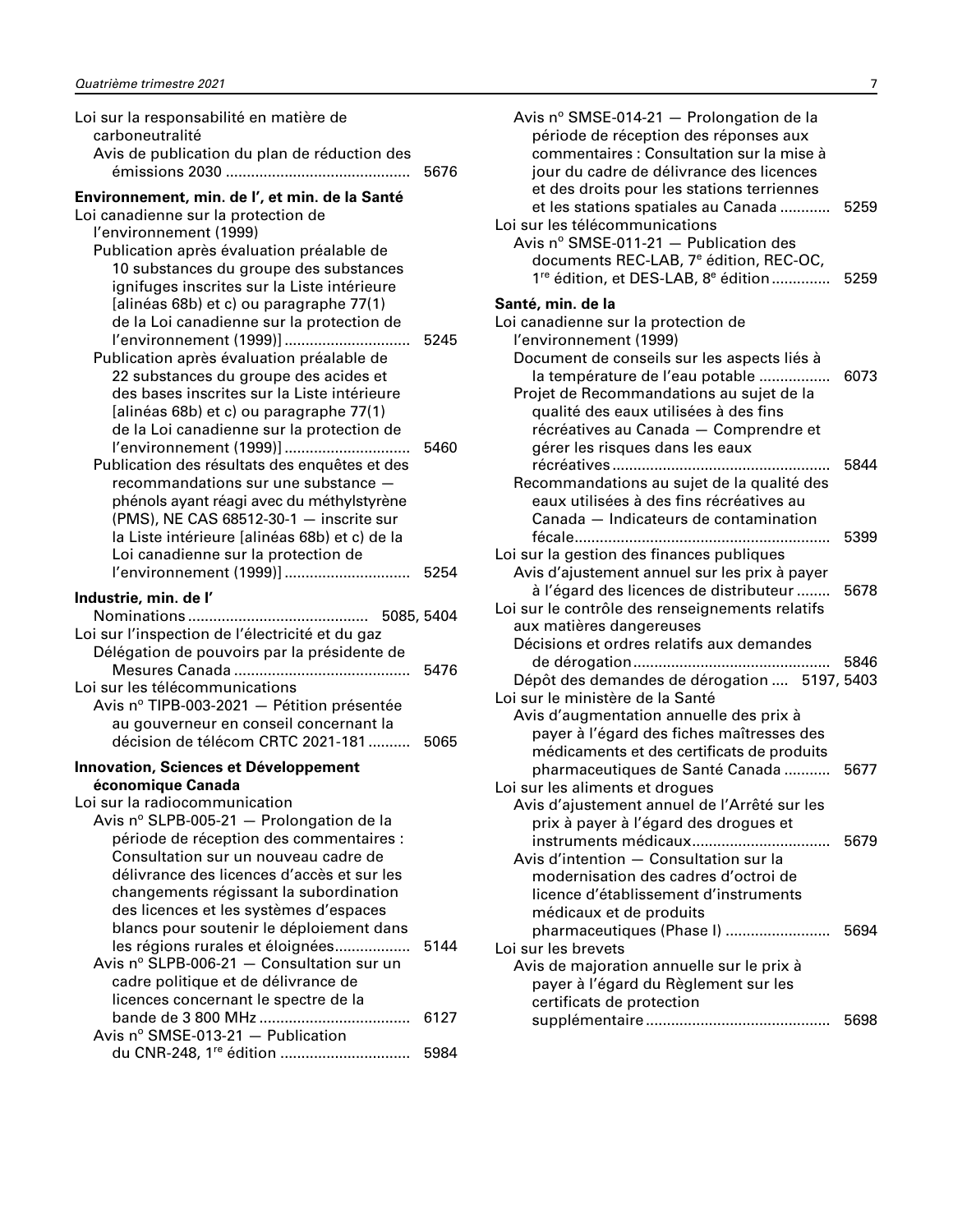| Loi sur la responsabilité en matière de<br>carboneutralité<br>Avis de publication du plan de réduction des                                                                                                                                           |      |
|------------------------------------------------------------------------------------------------------------------------------------------------------------------------------------------------------------------------------------------------------|------|
|                                                                                                                                                                                                                                                      | 5676 |
| Environnement, min. de l', et min. de la Santé<br>Loi canadienne sur la protection de<br>l'environnement (1999)                                                                                                                                      |      |
| Publication après évaluation préalable de<br>10 substances du groupe des substances<br>ignifuges inscrites sur la Liste intérieure<br>[alinéas 68b) et c) ou paragraphe 77(1)                                                                        |      |
| de la Loi canadienne sur la protection de<br>l'environnement (1999)]<br>Publication après évaluation préalable de<br>22 substances du groupe des acides et<br>des bases inscrites sur la Liste intérieure<br>[alinéas 68b) et c) ou paragraphe 77(1) | 5245 |
| de la Loi canadienne sur la protection de<br>l'environnement (1999)]<br>Publication des résultats des enquêtes et des                                                                                                                                | 5460 |
| recommandations sur une substance -<br>phénols ayant réagi avec du méthylstyrène<br>(PMS), NE CAS 68512-30-1 - inscrite sur<br>la Liste intérieure [alinéas 68b) et c) de la<br>Loi canadienne sur la protection de                                  |      |
| l'environnement (1999)]                                                                                                                                                                                                                              | 5254 |
| Industrie, min. de l'                                                                                                                                                                                                                                |      |
| Loi sur l'inspection de l'électricité et du gaz<br>Délégation de pouvoirs par la présidente de                                                                                                                                                       |      |
| Loi sur les télécommunications<br>Avis nº TIPB-003-2021 - Pétition présentée<br>au gouverneur en conseil concernant la                                                                                                                               | 5476 |
| décision de télécom CRTC 2021-181                                                                                                                                                                                                                    | 5065 |
| <b>Innovation, Sciences et Développement</b>                                                                                                                                                                                                         |      |
| économique Canada<br>Loi sur la radiocommunication                                                                                                                                                                                                   |      |
| Avis nº SLPB-005-21 - Prolongation de la                                                                                                                                                                                                             |      |
| période de réception des commentaires :<br>Consultation sur un nouveau cadre de                                                                                                                                                                      |      |
| délivrance des licences d'accès et sur les<br>changements régissant la subordination<br>des licences et les systèmes d'espaces<br>blancs pour soutenir le déploiement dans                                                                           |      |
| les régions rurales et éloignées<br>Avis nº SLPB-006-21 - Consultation sur un<br>cadre politique et de délivrance de<br>licences concernant le spectre de la                                                                                         | 5144 |
| Avis nº SMSE-013-21 - Publication                                                                                                                                                                                                                    | 6127 |
| du CNR-248, 1 <sup>re</sup> édition                                                                                                                                                                                                                  | 5984 |

| Santé, min. de la<br>Loi canadienne sur la protection de<br>l'environnement (1999)<br>Document de conseils sur les aspects liés à<br>la température de l'eau potable<br>6073<br>Projet de Recommandations au sujet de la<br>qualité des eaux utilisées à des fins<br>récréatives au Canada - Comprendre et<br>gérer les risques dans les eaux<br>5844<br>Recommandations au sujet de la qualité des<br>eaux utilisées à des fins récréatives au<br>Canada - Indicateurs de contamination<br>5399<br>Loi sur la gestion des finances publiques<br>Avis d'ajustement annuel sur les prix à payer<br>à l'égard des licences de distributeur<br>Loi sur le contrôle des renseignements relatifs<br>aux matières dangereuses<br>Décisions et ordres relatifs aux demandes<br>Dépôt des demandes de dérogation  5197, 5403<br>Loi sur le ministère de la Santé<br>Avis d'augmentation annuelle des prix à<br>payer à l'égard des fiches maîtresses des<br>médicaments et des certificats de produits<br>pharmaceutiques de Santé Canada<br>5677<br>Loi sur les aliments et drogues<br>Avis d'ajustement annuel de l'Arrêté sur les<br>prix à payer à l'égard des drogues et<br>Avis d'intention - Consultation sur la<br>modernisation des cadres d'octroi de<br>licence d'établissement d'instruments<br>médicaux et de produits<br>pharmaceutiques (Phase I)<br>Loi sur les brevets<br>Avis de majoration annuelle sur le prix à<br>payer à l'égard du Règlement sur les<br>certificats de protection | Avis nº SMSE-014-21 $-$ Prolongation de la<br>période de réception des réponses aux<br>commentaires : Consultation sur la mise à<br>jour du cadre de délivrance des licences<br>et des droits pour les stations terriennes<br>et les stations spatiales au Canada<br>Loi sur les télécommunications<br>Avis nº SMSE-011-21 - Publication des<br>documents REC-LAB, 7 <sup>e</sup> édition, REC-OC,<br>1 <sup>re</sup> édition, et DES-LAB, 8 <sup>e</sup> édition | 5259<br>5259 |
|---------------------------------------------------------------------------------------------------------------------------------------------------------------------------------------------------------------------------------------------------------------------------------------------------------------------------------------------------------------------------------------------------------------------------------------------------------------------------------------------------------------------------------------------------------------------------------------------------------------------------------------------------------------------------------------------------------------------------------------------------------------------------------------------------------------------------------------------------------------------------------------------------------------------------------------------------------------------------------------------------------------------------------------------------------------------------------------------------------------------------------------------------------------------------------------------------------------------------------------------------------------------------------------------------------------------------------------------------------------------------------------------------------------------------------------------------------------------------------------------------|-------------------------------------------------------------------------------------------------------------------------------------------------------------------------------------------------------------------------------------------------------------------------------------------------------------------------------------------------------------------------------------------------------------------------------------------------------------------|--------------|
|                                                                                                                                                                                                                                                                                                                                                                                                                                                                                                                                                                                                                                                                                                                                                                                                                                                                                                                                                                                                                                                                                                                                                                                                                                                                                                                                                                                                                                                                                                   |                                                                                                                                                                                                                                                                                                                                                                                                                                                                   |              |
|                                                                                                                                                                                                                                                                                                                                                                                                                                                                                                                                                                                                                                                                                                                                                                                                                                                                                                                                                                                                                                                                                                                                                                                                                                                                                                                                                                                                                                                                                                   |                                                                                                                                                                                                                                                                                                                                                                                                                                                                   |              |
|                                                                                                                                                                                                                                                                                                                                                                                                                                                                                                                                                                                                                                                                                                                                                                                                                                                                                                                                                                                                                                                                                                                                                                                                                                                                                                                                                                                                                                                                                                   |                                                                                                                                                                                                                                                                                                                                                                                                                                                                   |              |
|                                                                                                                                                                                                                                                                                                                                                                                                                                                                                                                                                                                                                                                                                                                                                                                                                                                                                                                                                                                                                                                                                                                                                                                                                                                                                                                                                                                                                                                                                                   |                                                                                                                                                                                                                                                                                                                                                                                                                                                                   |              |
|                                                                                                                                                                                                                                                                                                                                                                                                                                                                                                                                                                                                                                                                                                                                                                                                                                                                                                                                                                                                                                                                                                                                                                                                                                                                                                                                                                                                                                                                                                   |                                                                                                                                                                                                                                                                                                                                                                                                                                                                   | 5678         |
|                                                                                                                                                                                                                                                                                                                                                                                                                                                                                                                                                                                                                                                                                                                                                                                                                                                                                                                                                                                                                                                                                                                                                                                                                                                                                                                                                                                                                                                                                                   |                                                                                                                                                                                                                                                                                                                                                                                                                                                                   | 5846         |
|                                                                                                                                                                                                                                                                                                                                                                                                                                                                                                                                                                                                                                                                                                                                                                                                                                                                                                                                                                                                                                                                                                                                                                                                                                                                                                                                                                                                                                                                                                   |                                                                                                                                                                                                                                                                                                                                                                                                                                                                   |              |
|                                                                                                                                                                                                                                                                                                                                                                                                                                                                                                                                                                                                                                                                                                                                                                                                                                                                                                                                                                                                                                                                                                                                                                                                                                                                                                                                                                                                                                                                                                   |                                                                                                                                                                                                                                                                                                                                                                                                                                                                   | 5679         |
|                                                                                                                                                                                                                                                                                                                                                                                                                                                                                                                                                                                                                                                                                                                                                                                                                                                                                                                                                                                                                                                                                                                                                                                                                                                                                                                                                                                                                                                                                                   |                                                                                                                                                                                                                                                                                                                                                                                                                                                                   | 5694         |
|                                                                                                                                                                                                                                                                                                                                                                                                                                                                                                                                                                                                                                                                                                                                                                                                                                                                                                                                                                                                                                                                                                                                                                                                                                                                                                                                                                                                                                                                                                   |                                                                                                                                                                                                                                                                                                                                                                                                                                                                   | 5698         |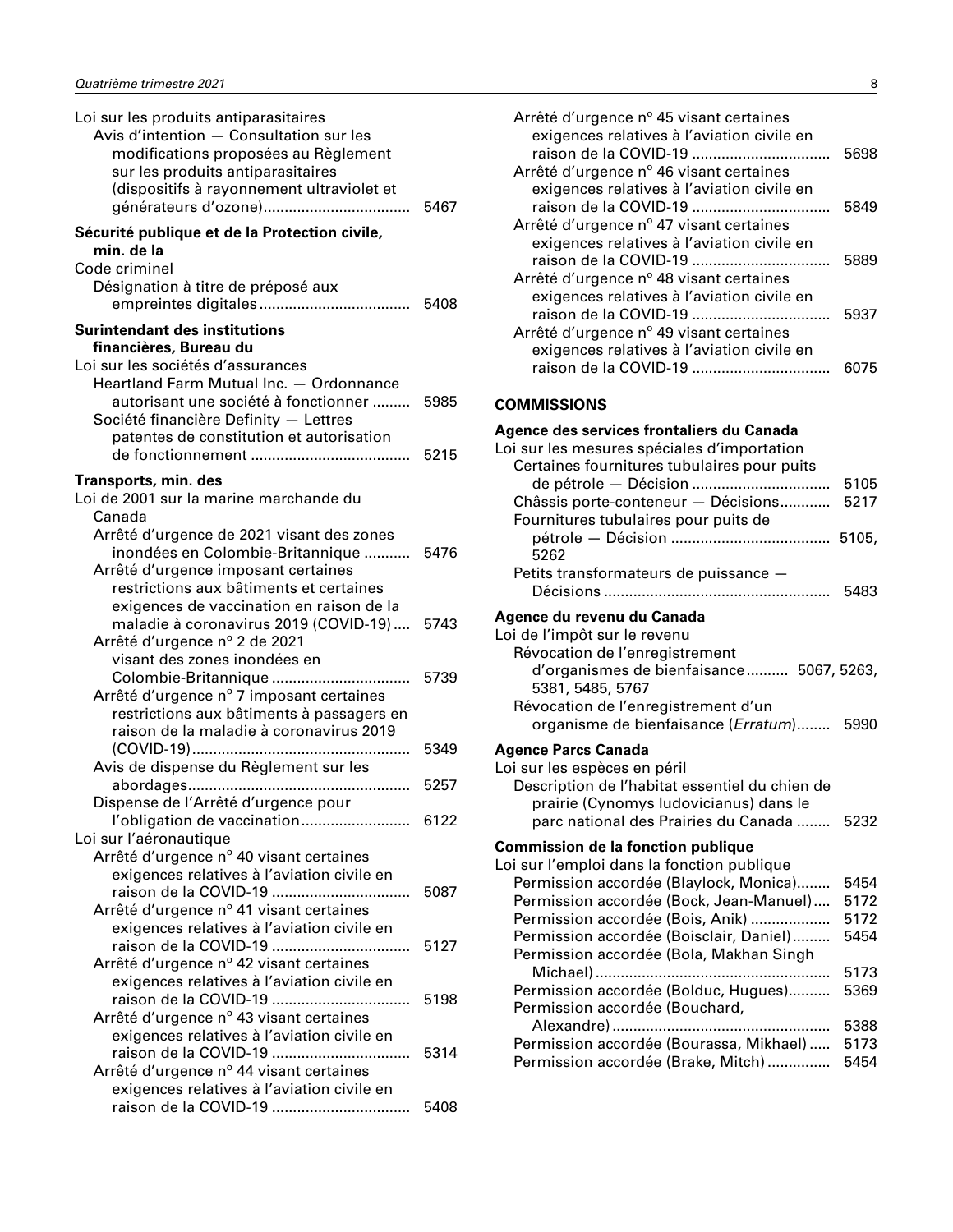<span id="page-9-0"></span>

| Loi sur les produits antiparasitaires<br>Avis d'intention - Consultation sur les<br>modifications proposées au Règlement<br>sur les produits antiparasitaires<br>(dispositifs à rayonnement ultraviolet et | 5467 |
|------------------------------------------------------------------------------------------------------------------------------------------------------------------------------------------------------------|------|
| Sécurité publique et de la Protection civile,                                                                                                                                                              |      |
| min. de la                                                                                                                                                                                                 |      |
| Code criminel                                                                                                                                                                                              |      |
| Désignation à titre de préposé aux                                                                                                                                                                         |      |
|                                                                                                                                                                                                            |      |
| <b>Surintendant des institutions</b><br>financières, Bureau du                                                                                                                                             |      |
| Loi sur les sociétés d'assurances                                                                                                                                                                          |      |
| Heartland Farm Mutual Inc. - Ordonnance                                                                                                                                                                    |      |
| autorisant une société à fonctionner                                                                                                                                                                       | 5985 |
| Société financière Definity - Lettres                                                                                                                                                                      |      |
| patentes de constitution et autorisation                                                                                                                                                                   |      |
|                                                                                                                                                                                                            | 5215 |
| Transports, min. des                                                                                                                                                                                       |      |
| Loi de 2001 sur la marine marchande du                                                                                                                                                                     |      |
| Canada                                                                                                                                                                                                     |      |
| Arrêté d'urgence de 2021 visant des zones                                                                                                                                                                  |      |
| inondées en Colombie-Britannique                                                                                                                                                                           | 5476 |
| Arrêté d'urgence imposant certaines                                                                                                                                                                        |      |
| restrictions aux bâtiments et certaines                                                                                                                                                                    |      |
| exigences de vaccination en raison de la                                                                                                                                                                   |      |
| maladie à coronavirus 2019 (COVID-19)                                                                                                                                                                      | 5743 |
| Arrêté d'urgence nº 2 de 2021                                                                                                                                                                              |      |
| visant des zones inondées en                                                                                                                                                                               |      |
| Colombie-Britannique                                                                                                                                                                                       | 5739 |
| Arrêté d'urgence nº 7 imposant certaines                                                                                                                                                                   |      |
| restrictions aux bâtiments à passagers en                                                                                                                                                                  |      |
| raison de la maladie à coronavirus 2019                                                                                                                                                                    |      |
|                                                                                                                                                                                                            | 5349 |
| Avis de dispense du Règlement sur les                                                                                                                                                                      |      |
|                                                                                                                                                                                                            | 5257 |
| Dispense de l'Arrêté d'urgence pour                                                                                                                                                                        |      |
| l'obligation de vaccination 6122                                                                                                                                                                           |      |
| Loi sur l'aéronautique                                                                                                                                                                                     |      |
| Arrêté d'urgence nº 40 visant certaines<br>exigences relatives à l'aviation civile en                                                                                                                      |      |
| raison de la COVID-19                                                                                                                                                                                      | 5087 |
| Arrêté d'urgence nº 41 visant certaines                                                                                                                                                                    |      |
| exigences relatives à l'aviation civile en                                                                                                                                                                 |      |
| raison de la COVID-19                                                                                                                                                                                      | 5127 |
| Arrêté d'urgence nº 42 visant certaines                                                                                                                                                                    |      |
| exigences relatives à l'aviation civile en                                                                                                                                                                 |      |
| raison de la COVID-19                                                                                                                                                                                      | 5198 |
| Arrêté d'urgence nº 43 visant certaines                                                                                                                                                                    |      |
| exigences relatives à l'aviation civile en                                                                                                                                                                 |      |
| raison de la COVID-19                                                                                                                                                                                      | 5314 |
| Arrêté d'urgence nº 44 visant certaines                                                                                                                                                                    |      |
| exigences relatives à l'aviation civile en                                                                                                                                                                 |      |
| raison de la COVID-19                                                                                                                                                                                      | 5408 |
|                                                                                                                                                                                                            |      |

| Arrêté d'urgence nº 45 visant certaines<br>exigences relatives à l'aviation civile en                                                   | 5698 |
|-----------------------------------------------------------------------------------------------------------------------------------------|------|
| Arrêté d'urgence nº 46 visant certaines<br>exigences relatives à l'aviation civile en                                                   |      |
| raison de la COVID-19<br>Arrêté d'urgence nº 47 visant certaines<br>exigences relatives à l'aviation civile en                          | 5849 |
| raison de la COVID-19<br>Arrêté d'urgence nº 48 visant certaines<br>exigences relatives à l'aviation civile en                          | 5889 |
| raison de la COVID-19<br>Arrêté d'urgence nº 49 visant certaines                                                                        | 5937 |
| exigences relatives à l'aviation civile en                                                                                              | 6075 |
| <b>COMMISSIONS</b>                                                                                                                      |      |
| Agence des services frontaliers du Canada<br>Loi sur les mesures spéciales d'importation<br>Certaines fournitures tubulaires pour puits |      |
|                                                                                                                                         | 5105 |
| Châssis porte-conteneur - Décisions<br>Fournitures tubulaires pour puits de                                                             | 5217 |
| 5262                                                                                                                                    |      |
| Petits transformateurs de puissance -                                                                                                   | 5483 |
| Agence du revenu du Canada                                                                                                              |      |
| Loi de l'impôt sur le revenu                                                                                                            |      |
| Révocation de l'enregistrement<br>d'organismes de bienfaisance 5067, 5263,<br>5381, 5485, 5767                                          |      |

Révocation de l'enregistrement d'un

**Commission de la fonction publique** Loi sur l'emploi dans la fonction publique

Permission accordée (Bouchard,

**Agence Parcs Canada** Loi sur les espèces en péril

organisme de bienfaisance (*Erratum*)........ 5990

parc national des Prairies du Canada ........ 5232

Permission accordée (Blaylock, Monica)........ 5454 Permission accordée (Bock, Jean-Manuel).... 5172 Permission accordée (Bois, Anik) ................... 5172 Permission accordée (Boisclair, Daniel)......... 5454

Michael)........................................................ 5173 Permission accordée (Bolduc, Hugues).......... 5369

Alexandre).................................................... 5388 Permission accordée (Bourassa, Mikhael)..... 5173 Permission accordée (Brake, Mitch)............... 5454

Description de l'habitat essentiel du chien de prairie (Cynomys ludovicianus) dans le

Permission accordée (Bola, Makhan Singh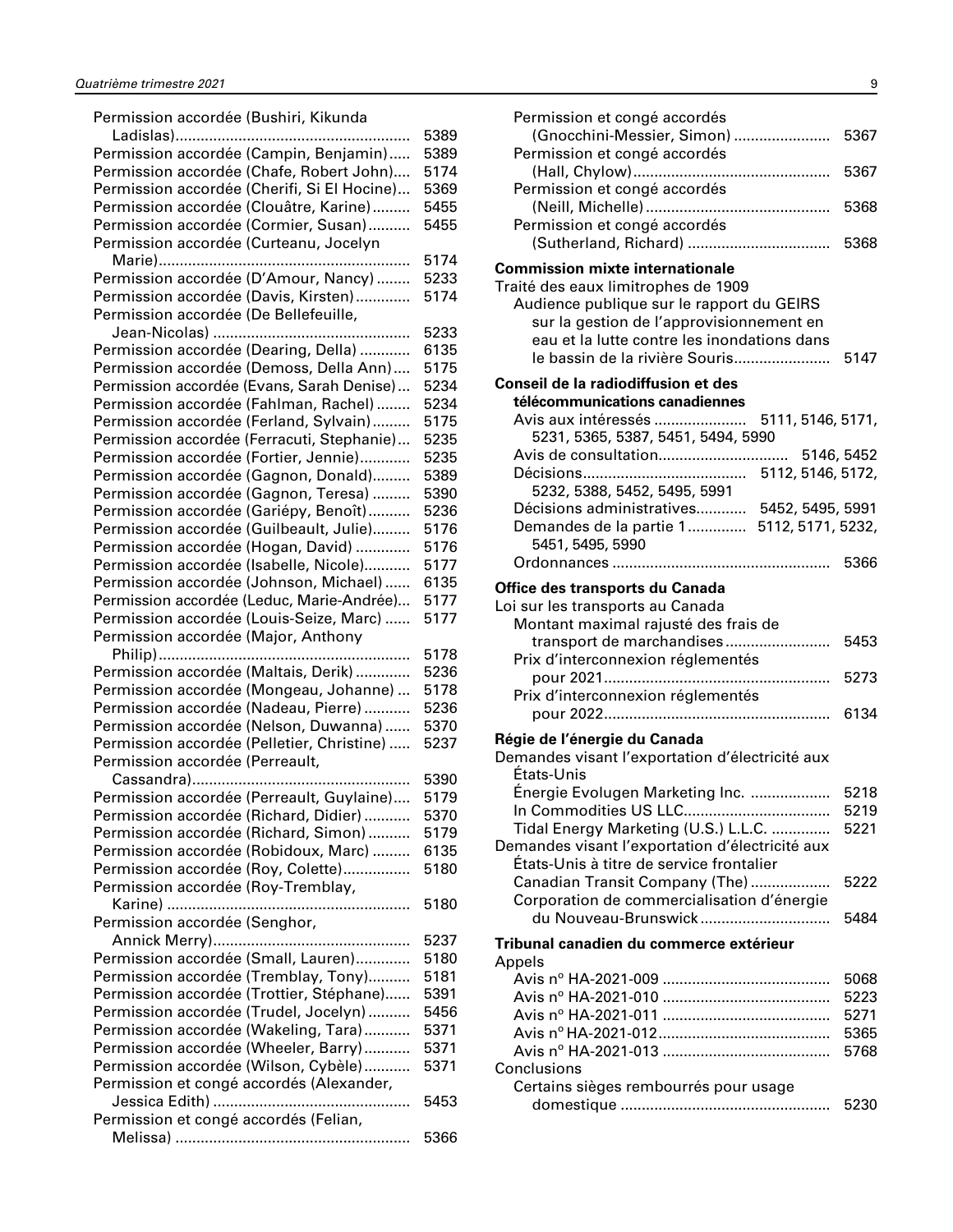Permission accordée (Bushiri, Kikunda Ladislas)........................................................ 5389 Permission accordée (Campin, Benjamin)..... 5389 Permission accordée (Chafe, Robert John).... 5174 Permission accordée (Cherifi, Si El Hocine)... 5369 Permission accordée (Clouâtre, Karine)......... 5455 Permission accordée (Cormier, Susan).......... 5455 Permission accordée (Curteanu, Jocelyn Marie)............................................................ 5174 Permission accordée (D'Amour, Nancy)........ 5233 Permission accordée (Davis, Kirsten)............. 5174 Permission accordée (De Bellefeuille, Jean-Nicolas) ............................................... 5233 Permission accordée (Dearing, Della) ............ 6135 Permission accordée (Demoss, Della Ann).... 5175 Permission accordée (Evans, Sarah Denise)... 5234 Permission accordée (Fahlman, Rachel)........ 5234 Permission accordée (Ferland, Sylvain)......... 5175 Permission accordée (Ferracuti, Stephanie)... 5235 Permission accordée (Fortier, Jennie)............ 5235 Permission accordée (Gagnon, Donald)......... 5389 Permission accordée (Gagnon, Teresa) ......... 5390 Permission accordée (Gariépy, Benoît).......... 5236 Permission accordée (Guilbeault, Julie)......... 5176 Permission accordée (Hogan, David) ............. 5176 Permission accordée (Isabelle, Nicole)........... 5177 Permission accordée (Johnson, Michael)...... 6135 Permission accordée (Leduc, Marie-Andrée)... 5177 Permission accordée (Louis-Seize, Marc) ...... 5177 Permission accordée (Major, Anthony Philip)............................................................ 5178 Permission accordée (Maltais, Derik)............. 5236 Permission accordée (Mongeau, Johanne) ... 5178 Permission accordée (Nadeau, Pierre)........... 5236 Permission accordée (Nelson, Duwanna)...... 5370 Permission accordée (Pelletier, Christine) ..... 5237 Permission accordée (Perreault, Cassandra).................................................... 5390 Permission accordée (Perreault, Guylaine).... 5179 Permission accordée (Richard, Didier)........... 5370 Permission accordée (Richard, Simon).......... 5179 Permission accordée (Robidoux, Marc) ......... 6135 Permission accordée (Roy, Colette)................ 5180 Permission accordée (Roy-Tremblay, Karine) .......................................................... 5180 Permission accordée (Senghor, Annick Merry)............................................... 5237 Permission accordée (Small, Lauren)............. 5180 Permission accordée (Tremblay, Tony).......... 5181 Permission accordée (Trottier, Stéphane)...... 5391 Permission accordée (Trudel, Jocelyn).......... 5456 Permission accordée (Wakeling, Tara)........... 5371 Permission accordée (Wheeler, Barry)........... 5371 Permission accordée (Wilson, Cybèle)........... 5371 Permission et congé accordés (Alexander, Jessica Edith) ............................................... 5453 Permission et congé accordés (Felian, Melissa) ........................................................ 5366

| Permission et congé accordés<br>(Gnocchini-Messier, Simon)                     | 5367         |
|--------------------------------------------------------------------------------|--------------|
| Permission et congé accordés                                                   |              |
| Permission et congé accordés                                                   | 5367         |
|                                                                                | 5368         |
| Permission et congé accordés                                                   |              |
|                                                                                | 5368         |
| <b>Commission mixte internationale</b><br>Traité des eaux limitrophes de 1909  |              |
| Audience publique sur le rapport du GEIRS                                      |              |
| sur la gestion de l'approvisionnement en                                       |              |
| eau et la lutte contre les inondations dans                                    |              |
| le bassin de la rivière Souris                                                 | 5147         |
| Conseil de la radiodiffusion et des                                            |              |
| télécommunications canadiennes                                                 |              |
| Avis aux intéressés<br>5111, 5146, 5171,<br>5231, 5365, 5387, 5451, 5494, 5990 |              |
|                                                                                |              |
|                                                                                |              |
| 5232, 5388, 5452, 5495, 5991<br>Décisions administratives 5452, 5495, 5991     |              |
| Demandes de la partie 1 5112, 5171, 5232,                                      |              |
| 5451, 5495, 5990                                                               |              |
|                                                                                | 5366         |
| Office des transports du Canada                                                |              |
| Loi sur les transports au Canada                                               |              |
| Montant maximal rajusté des frais de                                           |              |
| transport de marchandises<br>Prix d'interconnexion réglementés                 | 5453         |
|                                                                                | 5273         |
| Prix d'interconnexion réglementés                                              |              |
|                                                                                | 6134         |
| Régie de l'énergie du Canada                                                   |              |
| Demandes visant l'exportation d'électricité aux<br>États-Unis                  |              |
| Énergie Evolugen Marketing Inc.                                                | 5218         |
|                                                                                | 5219         |
| Tidal Energy Marketing (U.S.) L.L.C.                                           | 5221         |
| Demandes visant l'exportation d'électricité aux                                |              |
| États-Unis à titre de service frontalier                                       |              |
| Canadian Transit Company (The)<br>Corporation de commercialisation d'énergie   | 5222         |
| du Nouveau-Brunswick                                                           | 5484         |
| Tribunal canadien du commerce extérieur                                        |              |
| Appels                                                                         |              |
|                                                                                | 5068         |
|                                                                                | 5223         |
|                                                                                | 5271         |
|                                                                                | 5365<br>5768 |
| Conclusions                                                                    |              |
| Certains sièges rembourrés pour usage                                          |              |
|                                                                                | 5230         |
|                                                                                |              |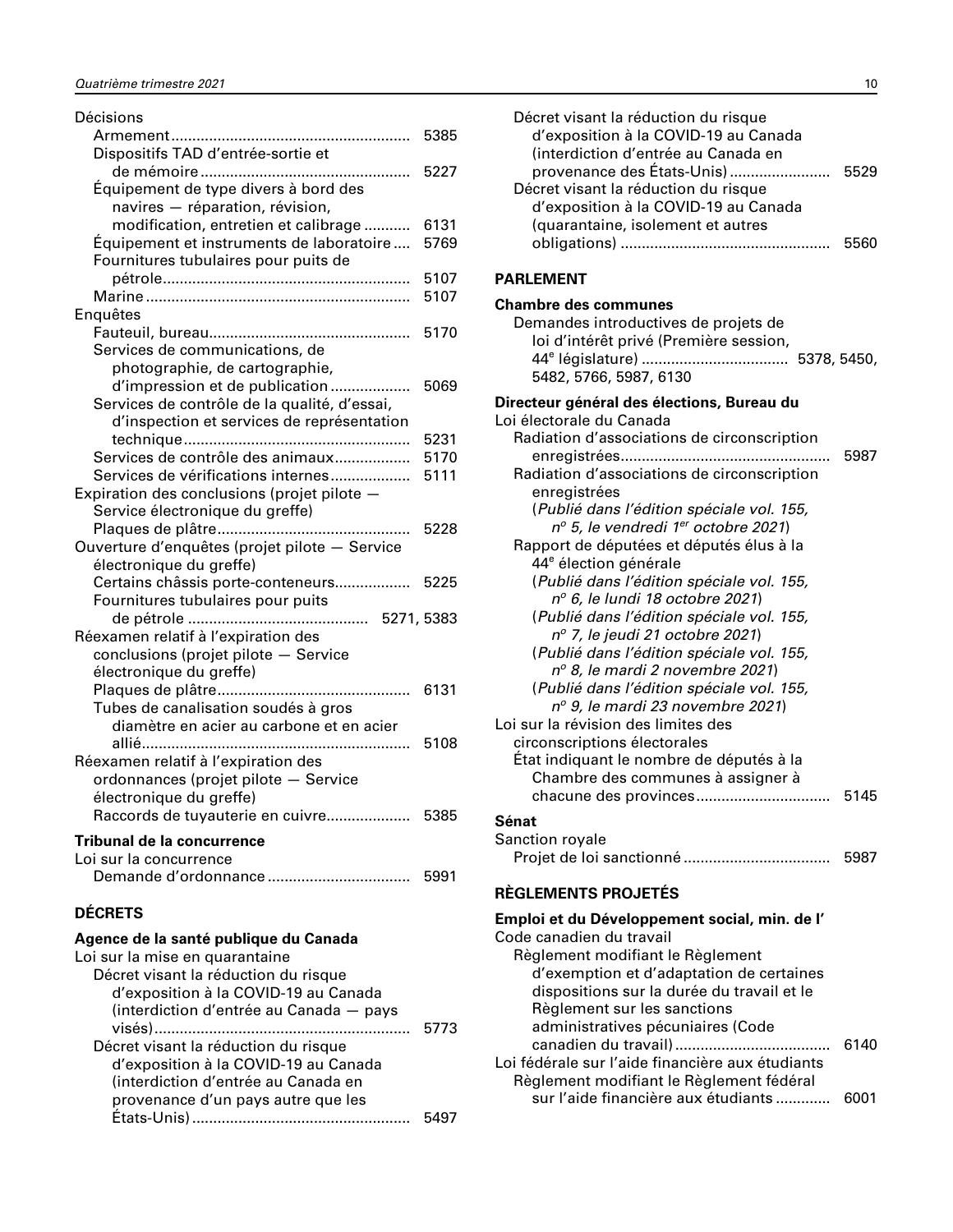<span id="page-11-0"></span>

| Décisions                                     |      |
|-----------------------------------------------|------|
|                                               | 5385 |
| Dispositifs TAD d'entrée-sortie et            |      |
|                                               | 5227 |
| Équipement de type divers à bord des          |      |
| navires - réparation, révision,               |      |
| modification, entretien et calibrage          | 6131 |
| Équipement et instruments de laboratoire      | 5769 |
| Fournitures tubulaires pour puits de          |      |
|                                               | 5107 |
|                                               | 5107 |
| Enquêtes                                      |      |
|                                               | 5170 |
| Services de communications, de                |      |
| photographie, de cartographie,                |      |
| d'impression et de publication                | 5069 |
| Services de contrôle de la qualité, d'essai,  |      |
| d'inspection et services de représentation    |      |
|                                               | 5231 |
| Services de contrôle des animaux              | 5170 |
| Services de vérifications internes            | 5111 |
| Expiration des conclusions (projet pilote -   |      |
| Service électronique du greffe)               |      |
|                                               |      |
|                                               | 5228 |
| Ouverture d'enquêtes (projet pilote - Service |      |
| électronique du greffe)                       |      |
| Certains châssis porte-conteneurs 5225        |      |
| Fournitures tubulaires pour puits             |      |
|                                               |      |
| Réexamen relatif à l'expiration des           |      |
| conclusions (projet pilote - Service          |      |
| électronique du greffe)                       |      |
|                                               | 6131 |
| Tubes de canalisation soudés à gros           |      |
| diamètre en acier au carbone et en acier      |      |
|                                               | 5108 |
| Réexamen relatif à l'expiration des           |      |
| ordonnances (projet pilote - Service          |      |
| électronique du greffe)                       |      |
| Raccords de tuyauterie en cuivre              | 5385 |
| Tribunal de la concurrence                    |      |
| Loi sur la concurrence                        |      |

### Loi sur la concurrence Demande d'ordonnance .................................. 5991

## **DÉCRETS**

## **Agence de la santé publique du Canada**

| Loi sur la mise en quarantaine          |      |
|-----------------------------------------|------|
| Décret visant la réduction du risque    |      |
| d'exposition à la COVID-19 au Canada    |      |
| (interdiction d'entrée au Canada - pays |      |
|                                         | 5773 |
| Décret visant la réduction du risque    |      |
| d'exposition à la COVID-19 au Canada    |      |
| (interdiction d'entrée au Canada en     |      |
| provenance d'un pays autre que les      |      |
|                                         |      |
|                                         |      |

| Décret visant la réduction du risque<br>d'exposition à la COVID-19 au Canada<br>(interdiction d'entrée au Canada en<br>Décret visant la réduction du risque<br>d'exposition à la COVID-19 au Canada<br>(quarantaine, isolement et autres                                                                   | 5560 |
|------------------------------------------------------------------------------------------------------------------------------------------------------------------------------------------------------------------------------------------------------------------------------------------------------------|------|
| <b>PARLEMENT</b>                                                                                                                                                                                                                                                                                           |      |
| <b>Chambre des communes</b><br>Demandes introductives de projets de<br>loi d'intérêt privé (Première session,<br>5482, 5766, 5987, 6130                                                                                                                                                                    |      |
| Directeur général des élections, Bureau du<br>Loi électorale du Canada                                                                                                                                                                                                                                     |      |
| Radiation d'associations de circonscription<br>Radiation d'associations de circonscription<br>enregistrées                                                                                                                                                                                                 | 5987 |
| (Publié dans l'édition spéciale vol. 155,<br>nº 5, le vendredi 1 <sup>er</sup> octobre 2021)<br>Rapport de députées et députés élus à la<br>44 <sup>e</sup> élection générale<br>(Publié dans l'édition spéciale vol. 155,<br>nº 6, le lundi 18 octobre 2021)<br>(Publié dans l'édition spéciale vol. 155, |      |
| nº 7, le jeudi 21 octobre 2021)<br>(Publié dans l'édition spéciale vol. 155,<br>nº 8, le mardi 2 novembre 2021)<br>(Publié dans l'édition spéciale vol. 155,<br>nº 9, le mardi 23 novembre 2021)<br>Loi sur la révision des limites des<br>circonscriptions électorales                                    |      |
| État indiquant le nombre de députés à la<br>Chambre des communes à assigner à                                                                                                                                                                                                                              | 5145 |
| Sénat<br>Sanction royale                                                                                                                                                                                                                                                                                   |      |
|                                                                                                                                                                                                                                                                                                            | 5987 |

## **RÈGLEMENTS PROJETÉS**

| Emploi et du Développement social, min. de l'    |      |
|--------------------------------------------------|------|
| Code canadien du travail                         |      |
| Règlement modifiant le Règlement                 |      |
| d'exemption et d'adaptation de certaines         |      |
| dispositions sur la durée du travail et le       |      |
| Règlement sur les sanctions                      |      |
| administratives pécuniaires (Code                |      |
|                                                  | 6140 |
| Loi fédérale sur l'aide financière aux étudiants |      |
| Règlement modifiant le Règlement fédéral         |      |
| sur l'aide financière aux étudiants              |      |
|                                                  |      |